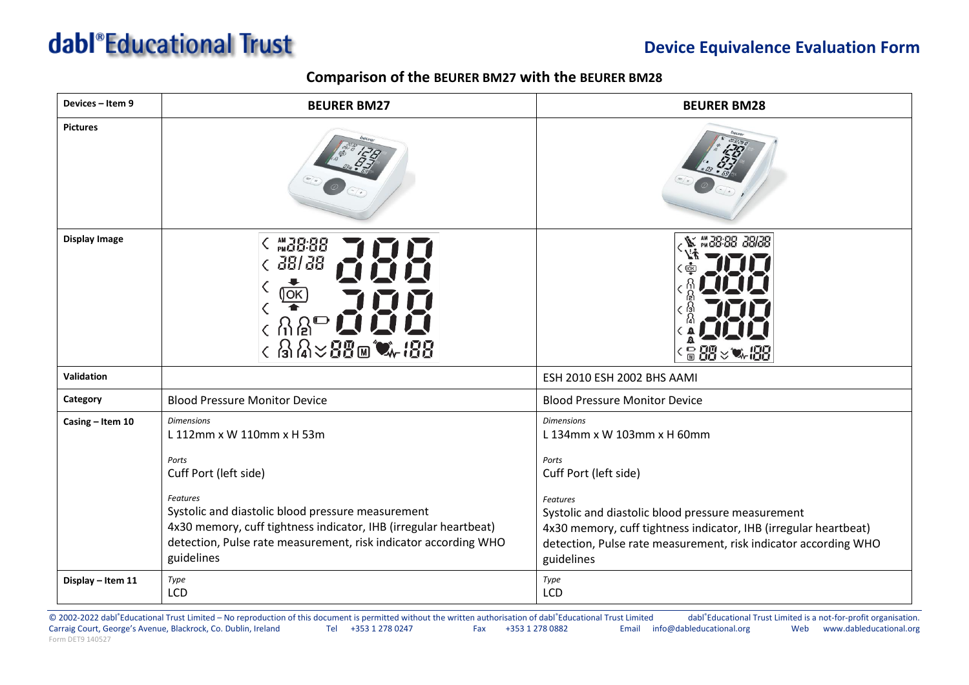## dabl<sup>®</sup>Educational Trust

## **Device Equivalence Evaluation Form**

## **Comparison of the BEURER BM27 with the BEURER BM28**

| Devices - Item 9     | <b>BEURER BM27</b>                                                                                                                                                                                                                                                                                     | <b>BEURER BM28</b>                                                                                                                                                                                                                                                                                                                                                                                           |
|----------------------|--------------------------------------------------------------------------------------------------------------------------------------------------------------------------------------------------------------------------------------------------------------------------------------------------------|--------------------------------------------------------------------------------------------------------------------------------------------------------------------------------------------------------------------------------------------------------------------------------------------------------------------------------------------------------------------------------------------------------------|
| <b>Pictures</b>      |                                                                                                                                                                                                                                                                                                        |                                                                                                                                                                                                                                                                                                                                                                                                              |
| <b>Display Image</b> | $\zeta$ and $38.88$<br>< 38/38<br><b>OK</b><br>$\epsilon$ ଲିଥି <sup>ଳ</sup> ଲି<br>$\langle$ 323 $\times$ 33 $\times$ 438                                                                                                                                                                               | ₩38-88 38/38<br>$\frac{1}{10} \frac{1}{2} \frac{1}{2} \frac{1}{2} \frac{1}{2} \frac{1}{2} \frac{1}{2} \frac{1}{2} \frac{1}{2} \frac{1}{2} \frac{1}{2} \frac{1}{2} \frac{1}{2} \frac{1}{2} \frac{1}{2} \frac{1}{2} \frac{1}{2} \frac{1}{2} \frac{1}{2} \frac{1}{2} \frac{1}{2} \frac{1}{2} \frac{1}{2} \frac{1}{2} \frac{1}{2} \frac{1}{2} \frac{1}{2} \frac{1}{2} \frac{1}{2} \frac{1}{2} \frac{1}{2} \frac$ |
| Validation           |                                                                                                                                                                                                                                                                                                        | ESH 2010 ESH 2002 BHS AAMI                                                                                                                                                                                                                                                                                                                                                                                   |
| Category             | <b>Blood Pressure Monitor Device</b>                                                                                                                                                                                                                                                                   | <b>Blood Pressure Monitor Device</b>                                                                                                                                                                                                                                                                                                                                                                         |
| Casing - Item 10     | <b>Dimensions</b><br>L 112mm x W 110mm x H 53m<br>Ports<br>Cuff Port (left side)<br>Features<br>Systolic and diastolic blood pressure measurement<br>4x30 memory, cuff tightness indicator, IHB (irregular heartbeat)<br>detection, Pulse rate measurement, risk indicator according WHO<br>guidelines | <b>Dimensions</b><br>L 134mm x W 103mm x H 60mm<br>Ports<br>Cuff Port (left side)<br><b>Features</b><br>Systolic and diastolic blood pressure measurement<br>4x30 memory, cuff tightness indicator, IHB (irregular heartbeat)<br>detection, Pulse rate measurement, risk indicator according WHO<br>guidelines                                                                                               |
| Display - Item 11    | Type<br>LCD                                                                                                                                                                                                                                                                                            | Type<br>LCD                                                                                                                                                                                                                                                                                                                                                                                                  |

© 2002-2022 dabl®Educational Trust Limited – No reproduction of this document is permitted without the written authorisation of dabl®Educational Trust Limited dabl®Educational Trust Limited is a not-for-profit organisation Carraig Court, George's Avenue, Blackrock, Co. Dublin, Ireland Tel +353 1 278 0247 Fax +353 1 278 0882 Email info@dableducational.org Web www.dableducational.org Form DET9 140527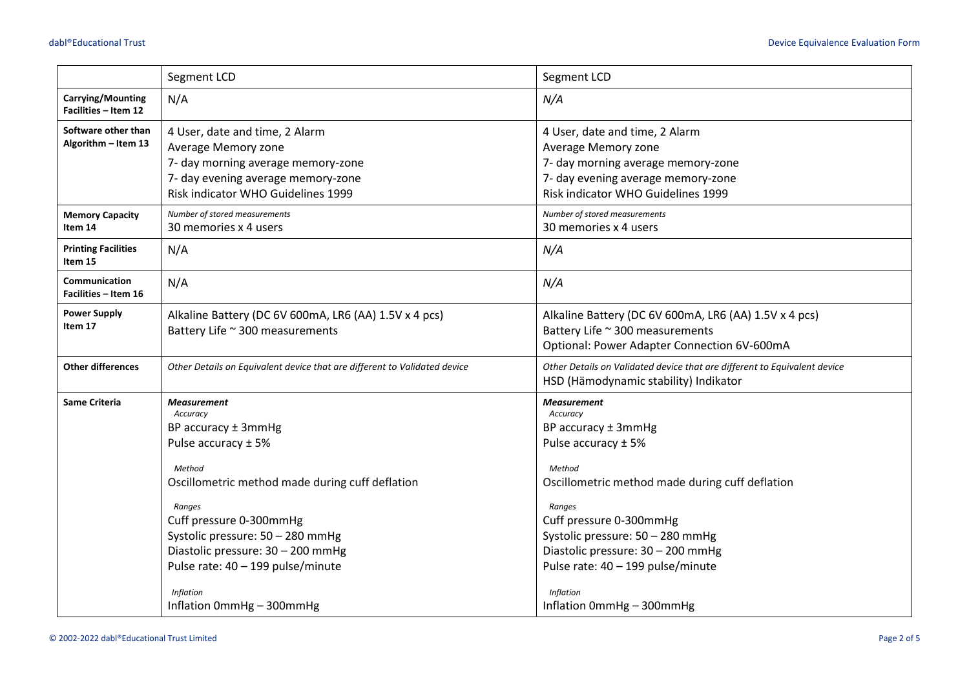|                                            | Segment LCD<br>Segment LCD                                                                                                                                                                                                                                                                                                                    |                                                                                                                                                                                                                                                                                                                                               |  |  |
|--------------------------------------------|-----------------------------------------------------------------------------------------------------------------------------------------------------------------------------------------------------------------------------------------------------------------------------------------------------------------------------------------------|-----------------------------------------------------------------------------------------------------------------------------------------------------------------------------------------------------------------------------------------------------------------------------------------------------------------------------------------------|--|--|
| Carrying/Mounting<br>Facilities - Item 12  | N/A                                                                                                                                                                                                                                                                                                                                           | N/A                                                                                                                                                                                                                                                                                                                                           |  |  |
| Software other than<br>Algorithm - Item 13 | 4 User, date and time, 2 Alarm<br>Average Memory zone<br>7- day morning average memory-zone<br>7- day evening average memory-zone<br>Risk indicator WHO Guidelines 1999                                                                                                                                                                       | 4 User, date and time, 2 Alarm<br>Average Memory zone<br>7- day morning average memory-zone<br>7- day evening average memory-zone<br>Risk indicator WHO Guidelines 1999                                                                                                                                                                       |  |  |
| <b>Memory Capacity</b><br>Item 14          | Number of stored measurements<br>30 memories x 4 users                                                                                                                                                                                                                                                                                        | Number of stored measurements<br>30 memories x 4 users                                                                                                                                                                                                                                                                                        |  |  |
| <b>Printing Facilities</b><br>Item 15      | N/A                                                                                                                                                                                                                                                                                                                                           | N/A                                                                                                                                                                                                                                                                                                                                           |  |  |
| Communication<br>Facilities - Item 16      | N/A                                                                                                                                                                                                                                                                                                                                           | N/A                                                                                                                                                                                                                                                                                                                                           |  |  |
| <b>Power Supply</b><br>Item 17             | Alkaline Battery (DC 6V 600mA, LR6 (AA) 1.5V x 4 pcs)<br>Battery Life ~ 300 measurements                                                                                                                                                                                                                                                      | Alkaline Battery (DC 6V 600mA, LR6 (AA) 1.5V x 4 pcs)<br>Battery Life ~ 300 measurements<br>Optional: Power Adapter Connection 6V-600mA                                                                                                                                                                                                       |  |  |
| <b>Other differences</b>                   | Other Details on Equivalent device that are different to Validated device                                                                                                                                                                                                                                                                     | Other Details on Validated device that are different to Equivalent device<br>HSD (Hämodynamic stability) Indikator                                                                                                                                                                                                                            |  |  |
| <b>Same Criteria</b>                       | <b>Measurement</b><br>Accuracy<br>BP accuracy ± 3mmHg<br>Pulse accuracy ± 5%<br>Method<br>Oscillometric method made during cuff deflation<br>Ranges<br>Cuff pressure 0-300mmHg<br>Systolic pressure: 50 - 280 mmHg<br>Diastolic pressure: 30 - 200 mmHg<br>Pulse rate: 40 - 199 pulse/minute<br><b>Inflation</b><br>Inflation 0mmHg - 300mmHg | <b>Measurement</b><br>Accuracy<br>BP accuracy ± 3mmHg<br>Pulse accuracy ± 5%<br>Method<br>Oscillometric method made during cuff deflation<br>Ranges<br>Cuff pressure 0-300mmHg<br>Systolic pressure: 50 - 280 mmHg<br>Diastolic pressure: 30 - 200 mmHg<br>Pulse rate: 40 - 199 pulse/minute<br><b>Inflation</b><br>Inflation 0mmHg - 300mmHg |  |  |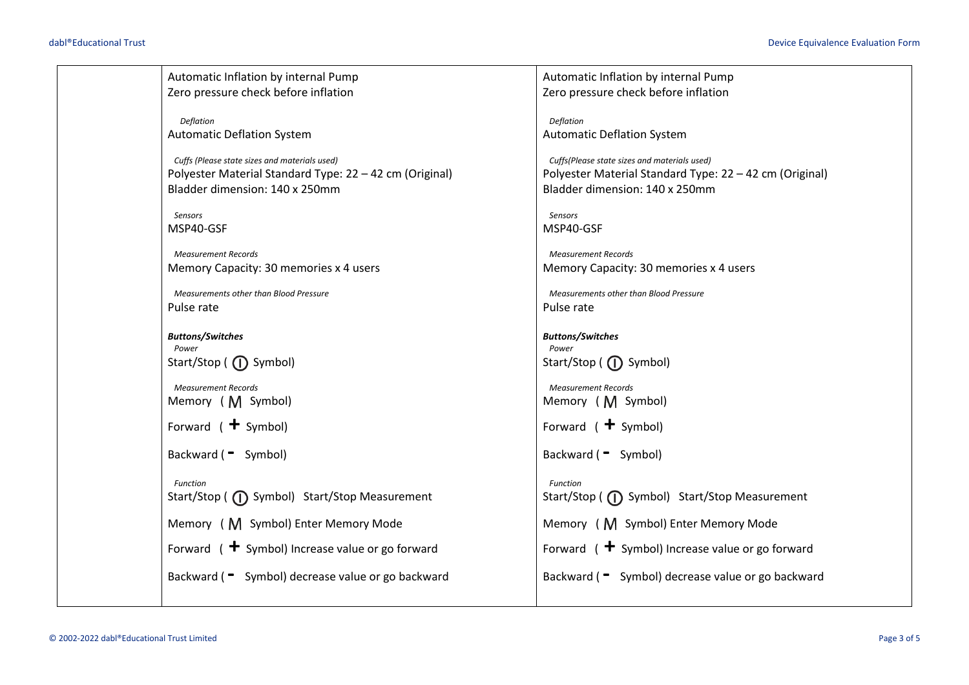| Automatic Inflation by internal Pump                    | Automatic Inflation by internal Pump                    |
|---------------------------------------------------------|---------------------------------------------------------|
| Zero pressure check before inflation                    | Zero pressure check before inflation                    |
|                                                         |                                                         |
| Deflation                                               | Deflation                                               |
| <b>Automatic Deflation System</b>                       | <b>Automatic Deflation System</b>                       |
| Cuffs (Please state sizes and materials used)           | Cuffs(Please state sizes and materials used)            |
| Polyester Material Standard Type: 22 - 42 cm (Original) | Polyester Material Standard Type: 22 - 42 cm (Original) |
| Bladder dimension: 140 x 250mm                          | Bladder dimension: 140 x 250mm                          |
|                                                         |                                                         |
| Sensors                                                 | Sensors                                                 |
| MSP40-GSF                                               | MSP40-GSF                                               |
| <b>Measurement Records</b>                              | <b>Measurement Records</b>                              |
| Memory Capacity: 30 memories x 4 users                  | Memory Capacity: 30 memories x 4 users                  |
|                                                         |                                                         |
| Measurements other than Blood Pressure                  | Measurements other than Blood Pressure                  |
| Pulse rate                                              | Pulse rate                                              |
|                                                         |                                                         |
| <b>Buttons/Switches</b>                                 | <b>Buttons/Switches</b>                                 |
| Power                                                   | Power                                                   |
| Start/Stop ( $\bigcap$ Symbol)                          | Start/Stop ( $\bigcap$ Symbol)                          |
| <b>Measurement Records</b>                              | <b>Measurement Records</b>                              |
| Memory (M Symbol)                                       | Memory (M Symbol)                                       |
|                                                         |                                                         |
| Forward $($ + Symbol)                                   | Forward $( +$ Symbol)                                   |
|                                                         |                                                         |
| Backward ( = Symbol)                                    | Backward ( = Symbol)                                    |
|                                                         |                                                         |
| Function                                                | <b>Function</b>                                         |
| Start/Stop ( (1) Symbol) Start/Stop Measurement         | Start/Stop ( (1) Symbol) Start/Stop Measurement         |
| Memory (M Symbol) Enter Memory Mode                     | Memory (M Symbol) Enter Memory Mode                     |
| Forward $($ + Symbol) Increase value or go forward      | Forward $($ + Symbol) Increase value or go forward      |
|                                                         |                                                         |
| Backward ( = Symbol) decrease value or go backward      | Backward ( = Symbol) decrease value or go backward      |
|                                                         |                                                         |
|                                                         |                                                         |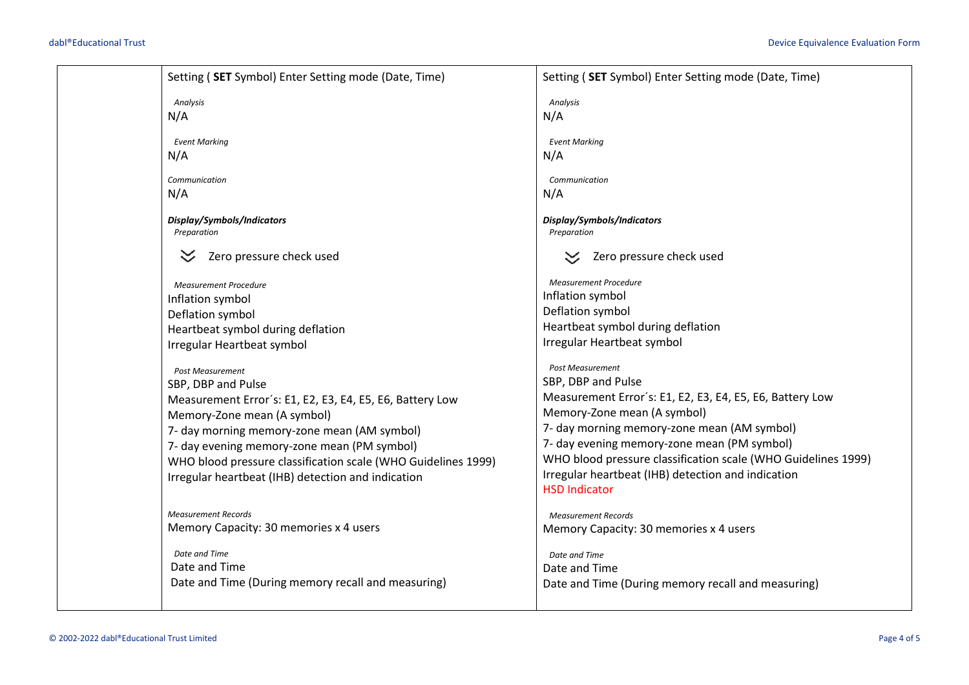|                             | Setting (SET Symbol) Enter Setting mode (Date, Time)                                                         | Setting (SET Symbol) Enter Setting mode (Date, Time)                                                         |
|-----------------------------|--------------------------------------------------------------------------------------------------------------|--------------------------------------------------------------------------------------------------------------|
| Analysis<br>N/A             |                                                                                                              | Analysis<br>N/A                                                                                              |
| <b>Event Marking</b><br>N/A |                                                                                                              | <b>Event Marking</b><br>N/A                                                                                  |
| Communication               |                                                                                                              | Communication                                                                                                |
| N/A                         |                                                                                                              | N/A                                                                                                          |
| Preparation                 | Display/Symbols/Indicators                                                                                   | Display/Symbols/Indicators<br>Preparation                                                                    |
|                             | Zero pressure check used                                                                                     | Zero pressure check used                                                                                     |
|                             | <b>Measurement Procedure</b><br>Inflation symbol                                                             | <b>Measurement Procedure</b><br>Inflation symbol                                                             |
|                             | Deflation symbol<br>Heartbeat symbol during deflation                                                        | Deflation symbol<br>Heartbeat symbol during deflation                                                        |
|                             | Irregular Heartbeat symbol                                                                                   | Irregular Heartbeat symbol                                                                                   |
|                             | <b>Post Measurement</b><br>SBP, DBP and Pulse                                                                | <b>Post Measurement</b><br>SBP, DBP and Pulse                                                                |
|                             | Measurement Error's: E1, E2, E3, E4, E5, E6, Battery Low                                                     | Measurement Error's: E1, E2, E3, E4, E5, E6, Battery Low                                                     |
|                             | Memory-Zone mean (A symbol)<br>7- day morning memory-zone mean (AM symbol)                                   | Memory-Zone mean (A symbol)<br>7- day morning memory-zone mean (AM symbol)                                   |
|                             | 7- day evening memory-zone mean (PM symbol)<br>WHO blood pressure classification scale (WHO Guidelines 1999) | 7- day evening memory-zone mean (PM symbol)<br>WHO blood pressure classification scale (WHO Guidelines 1999) |
|                             | Irregular heartbeat (IHB) detection and indication                                                           | Irregular heartbeat (IHB) detection and indication<br><b>HSD Indicator</b>                                   |
|                             | <b>Measurement Records</b><br>Memory Capacity: 30 memories x 4 users                                         | <b>Measurement Records</b><br>Memory Capacity: 30 memories x 4 users                                         |
| Date and Time               |                                                                                                              | Date and Time                                                                                                |
| Date and Time               | Date and Time (During memory recall and measuring)                                                           | Date and Time<br>Date and Time (During memory recall and measuring)                                          |